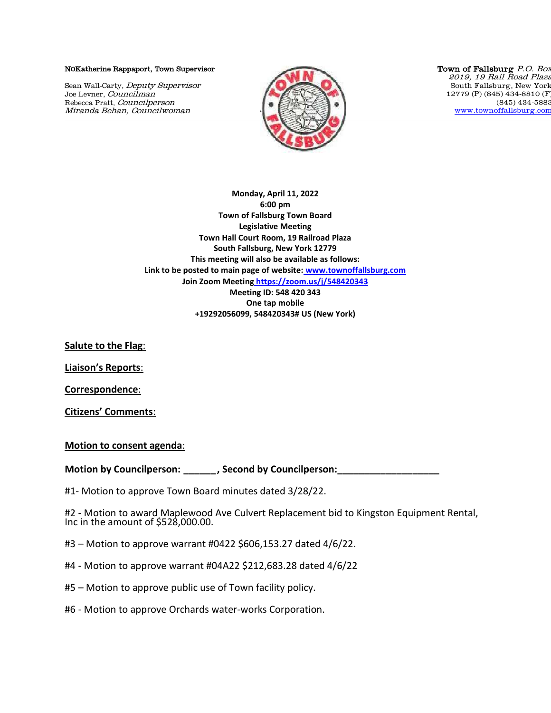## N0Katherine Rappaport, Town Supervisor

Sean Wall-Carty, Deputy Supervisor Joe Levner, Councilman Rebecca Pratt, Councilperson Miranda Behan, Councilwoman



Town of Fallsburg P.O. Box 2019, 19 Rail Road Plaza South Fallsburg, New York 12779 (P) (845) 434-8810 (F) (845) 434-5883 [www.townoffallsburg.com](http://www.townoffallsburg.com/)

**Monday, April 11, 2022 6:00 pm Town of Fallsburg Town Board Legislative Meeting Town Hall Court Room, 19 Railroad Plaza South Fallsburg, New York 12779 This meeting will also be available as follows: Link to be posted to main page of website: [www.townoffallsburg.com](http://www.townoffallsburg.com/)  Join Zoom Meeting <https://zoom.us/j/548420343> Meeting ID: 548 420 343 One tap mobile +19292056099, 548420343# US (New York)**

**Salute to the Flag**:

**Liaison's Reports**:

**Correspondence**:

**Citizens' Comments**:

**Motion to consent agenda**:

**Motion by Councilperson: \_\_\_\_\_\_, Second by Councilperson:\_\_\_\_\_\_\_\_\_\_\_\_\_\_\_\_\_\_\_**

#1- Motion to approve Town Board minutes dated 3/28/22.

#2 - Motion to award Maplewood Ave Culvert Replacement bid to Kingston Equipment Rental, Inc in the amount of \$528,000.00.

- #3 Motion to approve warrant #0422 \$606,153.27 dated 4/6/22.
- #4 Motion to approve warrant #04A22 \$212,683.28 dated 4/6/22
- #5 Motion to approve public use of Town facility policy.
- #6 Motion to approve Orchards water-works Corporation.